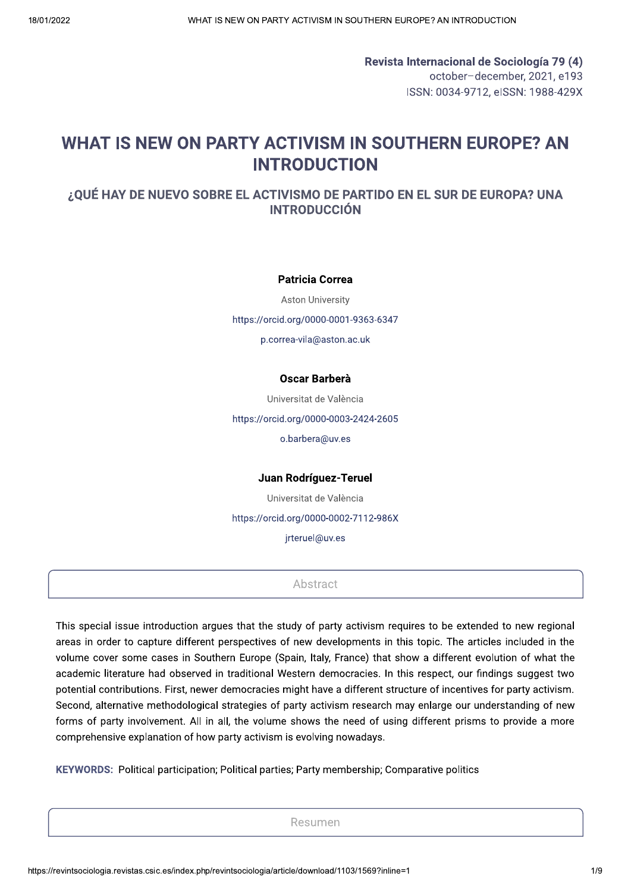Revista Internacional de Sociología 79 (4) october-december, 2021, e193 ISSN: 0034-9712, eISSN: 1988-429X

# WHAT IS NEW ON PARTY ACTIVISM IN SOUTHERN EUROPE? AN **INTRODUCTION**

# ¿QUÉ HAY DE NUEVO SOBRE EL ACTIVISMO DE PARTIDO EN EL SUR DE EUROPA? UNA **INTRODUCCIÓN**

**Patricia Correa** 

**Aston University** https://orcid.org/0000-0001-9363-6347 p.correa-vila@aston.ac.uk

### Oscar Barberà

Universitat de València https://orcid.org/0000-0003-2424-2605 o.barbera@uv.es

Juan Rodríguez-Teruel

Universitat de València

https://orcid.org/0000-0002-7112-986X

jrteruel@uv.es

Abstract

This special issue introduction argues that the study of party activism requires to be extended to new regional areas in order to capture different perspectives of new developments in this topic. The articles included in the volume cover some cases in Southern Europe (Spain, Italy, France) that show a different evolution of what the academic literature had observed in traditional Western democracies. In this respect, our findings suggest two potential contributions. First, newer democracies might have a different structure of incentives for party activism. Second, alternative methodological strategies of party activism research may enlarge our understanding of new forms of party involvement. All in all, the volume shows the need of using different prisms to provide a more comprehensive explanation of how party activism is evolving nowadays.

KEYWORDS: Political participation; Political parties; Party membership; Comparative politics

Resumen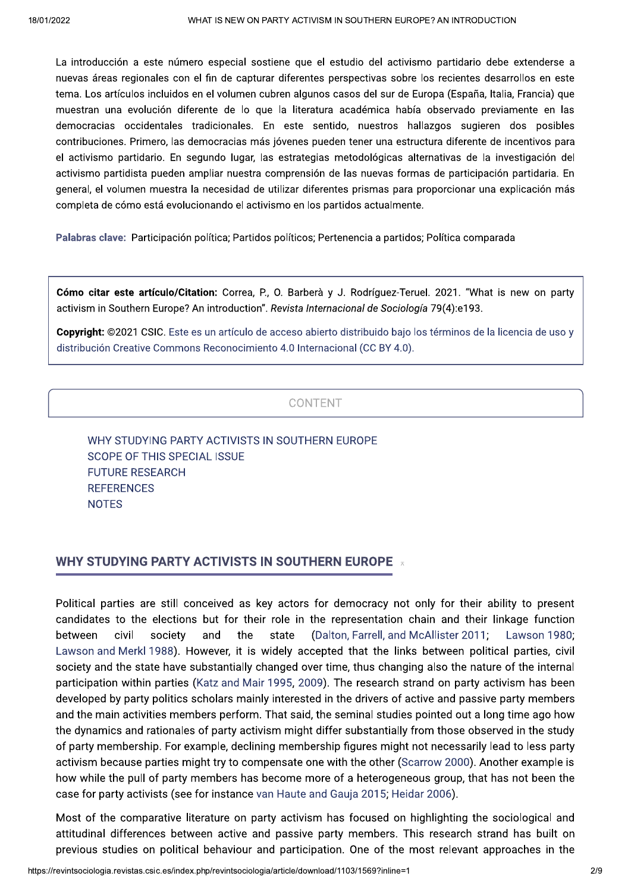La introducción a este número especial sostiene que el estudio del activismo partidario debe extenderse a nuevas áreas regionales con el fin de capturar diferentes perspectivas sobre los recientes desarrollos en este tema. Los artículos incluidos en el volumen cubren algunos casos del sur de Europa (España, Italia, Francia) que muestran una evolución diferente de lo que la literatura académica había observado previamente en las democracias occidentales tradicionales. En este sentido, nuestros hallazgos sugieren dos posibles contribuciones. Primero, las democracias más jóvenes pueden tener una estructura diferente de incentivos para el activismo partidario. En segundo lugar, las estrategias metodológicas alternativas de la investigación del activismo partidista pueden ampliar nuestra comprensión de las nuevas formas de participación partidaria. En general, el volumen muestra la necesidad de utilizar diferentes prismas para proporcionar una explicación más completa de cómo está evolucionando el activismo en los partidos actualmente.

Palabras clave: Participación política; Partidos políticos; Pertenencia a partidos; Política comparada

Cómo citar este artículo/Citation: Correa, P., O. Barberà y J. Rodríguez-Teruel. 2021. "What is new on party activism in Southern Europe? An introduction". Revista Internacional de Sociología 79(4):e193.

Copyright: ©2021 CSIC. Este es un artículo de acceso abierto distribuido bajo los términos de la licencia de uso y distribución Creative Commons Reconocimiento 4.0 Internacional (CC BY 4.0).

### CONTENT

WHY STUDYING PARTY ACTIVISTS IN SOUTHERN EUROPE **SCOPE OF THIS SPECIAL ISSUE FUTURE RESEARCH REFERENCES NOTES** 

### **WHY STUDYING PARTY ACTIVISTS IN SOUTHERN EUROPE \***

Political parties are still conceived as key actors for democracy not only for their ability to present candidates to the elections but for their role in the representation chain and their linkage function between civil society and the state (Dalton, Farrell, and McAllister 2011; Lawson 1980; Lawson and Merkl 1988). However, it is widely accepted that the links between political parties, civil society and the state have substantially changed over time, thus changing also the nature of the internal participation within parties (Katz and Mair 1995, 2009). The research strand on party activism has been developed by party politics scholars mainly interested in the drivers of active and passive party members and the main activities members perform. That said, the seminal studies pointed out a long time ago how the dynamics and rationales of party activism might differ substantially from those observed in the study of party membership. For example, declining membership figures might not necessarily lead to less party activism because parties might try to compensate one with the other (Scarrow 2000). Another example is how while the pull of party members has become more of a heterogeneous group, that has not been the case for party activists (see for instance van Haute and Gauja 2015; Heidar 2006).

Most of the comparative literature on party activism has focused on highlighting the sociological and attitudinal differences between active and passive party members. This research strand has built on previous studies on political behaviour and participation. One of the most relevant approaches in the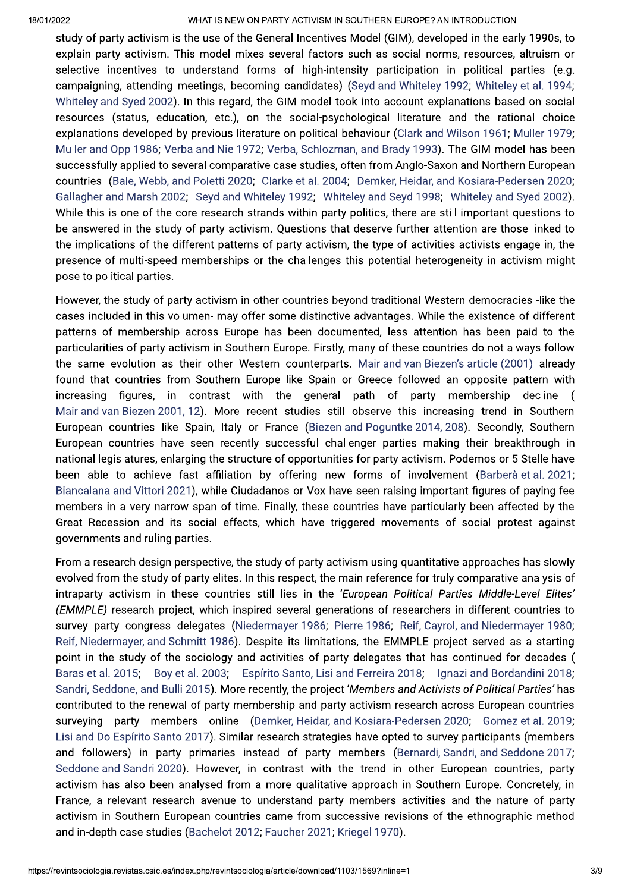#### WHAT IS NEW ON PARTY ACTIVISM IN SOUTHERN EUROPE? AN INTRODUCTION

study of party activism is the use of the General Incentives Model (GIM), developed in the early 1990s, to explain party activism. This model mixes several factors such as social norms, resources, altruism or selective incentives to understand forms of high-intensity participation in political parties (e.g. campaigning, attending meetings, becoming candidates) (Seyd and Whiteley 1992; Whiteley et al. 1994; Whiteley and Syed 2002). In this regard, the GIM model took into account explanations based on social resources (status, education, etc.), on the social-psychological literature and the rational choice explanations developed by previous literature on political behaviour (Clark and Wilson 1961; Muller 1979; Muller and Opp 1986; Verba and Nie 1972; Verba, Schlozman, and Brady 1993). The GIM model has been successfully applied to several comparative case studies, often from Anglo-Saxon and Northern European countries (Bale, Webb, and Poletti 2020: Clarke et al. 2004: Demker, Heidar, and Kosiara-Pedersen 2020; Gallagher and Marsh 2002; Seyd and Whiteley 1992; Whiteley and Seyd 1998; Whiteley and Syed 2002). While this is one of the core research strands within party politics, there are still important questions to be answered in the study of party activism. Ouestions that deserve further attention are those linked to the implications of the different patterns of party activism, the type of activities activists engage in, the presence of multi-speed memberships or the challenges this potential heterogeneity in activism might pose to political parties.

However, the study of party activism in other countries beyond traditional Western democracies -like the cases included in this volumen- may offer some distinctive advantages. While the existence of different patterns of membership across Europe has been documented. less attention has been paid to the particularities of party activism in Southern Europe. Firstly, many of these countries do not always follow the same evolution as their other Western counterparts. Mair and van Biezen's article (2001) already found that countries from Southern Europe like Spain or Greece followed an opposite pattern with increasing figures, in contrast with the general path of party membership decline Mair and van Biezen 2001, 12). More recent studies still observe this increasing trend in Southern European countries like Spain, Italy or France (Biezen and Poguntke 2014, 208). Secondly, Southern European countries have seen recently successful challenger parties making their breakthrough in national legislatures, enlarging the structure of opportunities for party activism. Podemos or 5 Stelle have been able to achieve fast affiliation by offering new forms of involvement (Barberà et al. 2021; Biancalana and Vittori 2021), while Ciudadanos or Vox have seen raising important figures of paying-fee members in a very narrow span of time. Finally, these countries have particularly been affected by the Great Recession and its social effects, which have triggered movements of social protest against governments and ruling parties.

From a research design perspective, the study of party activism using quantitative approaches has slowly evolved from the study of party elites. In this respect, the main reference for truly comparative analysis of intraparty activism in these countries still lies in the 'European Political Parties Middle-Level Elites' (EMMPLE) research project, which inspired several generations of researchers in different countries to survey party congress delegates (Niedermayer 1986; Pierre 1986; Reif, Cayrol, and Niedermayer 1980; Reif, Niedermayer, and Schmitt 1986). Despite its limitations, the EMMPLE project served as a starting point in the study of the sociology and activities of party delegates that has continued for decades ( Baras et al. 2015; Boy et al. 2003; Espírito Santo, Lisi and Ferreira 2018; Ignazi and Bordandini 2018; Sandri, Seddone, and Bulli 2015). More recently, the project 'Members and Activists of Political Parties' has contributed to the renewal of party membership and party activism research across European countries surveying party members online (Demker, Heidar, and Kosiara-Pedersen 2020; Gomez et al. 2019; Lisi and Do Espírito Santo 2017). Similar research strategies have opted to survey participants (members and followers) in party primaries instead of party members (Bernardi Sandri and Seddone 2017; Seddone and Sandri 2020). However, in contrast with the trend in other European countries, party activism has also been analysed from a more qualitative approach in Southern Europe. Concretely, in France, a relevant research avenue to understand party members activities and the nature of party activism in Southern European countries came from successive revisions of the ethnographic method and in-depth case studies (Bachelot 2012: Faucher 2021: Kriegel 1970).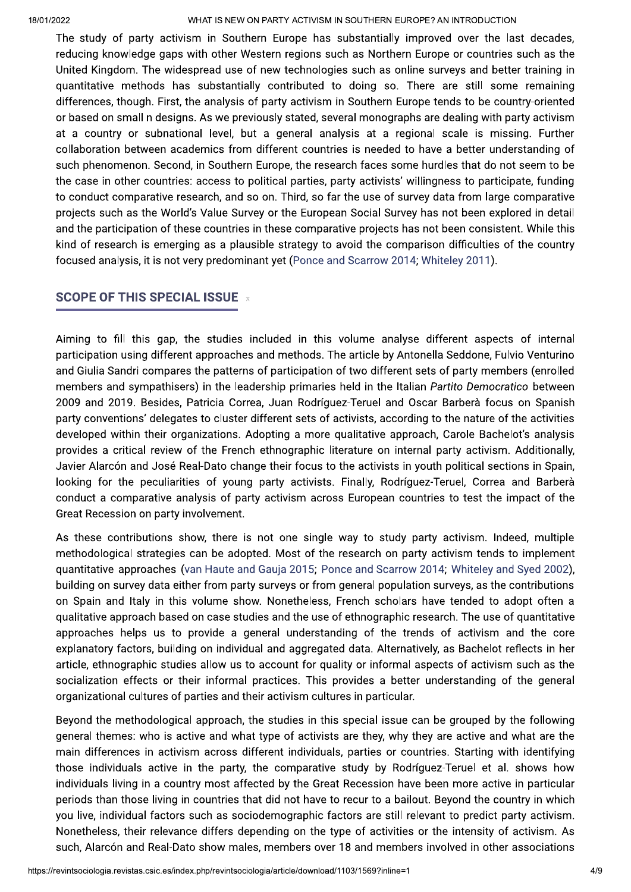#### $WHAI$  IS NEW ON PARTY ACTIVISM IN SOUTHERN EUROPE? AN INTRODUCTION

The study of party activism in Southern Europe has substantially improved over the last decades, reducing knowledge gaps with other western regions such as Northern Europe or countries such as the United Kingdom. The widespread use of new technologies such as online surveys and better training in quantitative methods has substantially contributed to doing so. There are still some remaining differences, though. First, the analysis of party activism in Southern Europe tends to be country-oriented or based on small n designs. As we previously stated, several monographs are dealing with party activism at a country or subhational level, but a general analysis at a regional scale is missing. Further  $\frac{1}{2}$  collaboration between academics from different countries is needed to have a better understanding of such phenomenon. Second, in Southern Europe, the research faces some nurdies that do not seem to be the case in other countries: access to political parties, party activists willingness to participate, funding to conduct comparative research, and so on. Third, so far the use of survey data from large comparative projects such as the world's value Survey or the European Social Survey has not been explored in detail and the participation of these countries in these comparative projects has not been consistent. While this  $\,$ kind of research is emerging as a plausible strategy to avoid the comparison difficulties of the country  $\overline{\text{rocused}}$  analysis, it is not very predominant yet (Ponce and Scarrow 2014; whiteley 2011).

# SCOPE OF THIS SPECIAL ISSUE  $\bar{x}$

Aiming to fill this gap, the studies included in this volume analyse different aspects of internal participation using different approacnes and methods. The article by Antonella Seddone, Fulvio Venturino and Giulia Sandri compares the patterns of participation of two different sets of party members (enrolled) members and sympathisers) in the leadership primaries held in the Italian *Partito Democratico* between  $2009$  and  $2019$ . Besides, Patricia Correa, Juan Rodriguez-Teruel and Oscar Barbera focus on Spanish party conventions' delegates to cluster different sets of activists, according to the nature of the activities developed within their organizations. Adopting a more qualitative approach, Carole Bachelot's analysis provides a critical review of the French ethnographic literature on internal party activism. Additionally, Javier Alarcon and Jose Real-Dato cnange their focus to the activists in youth political sections in Spain,  $\,$ looking for the peculiarities of young party activists. Finally, Rodriguez-Teruel, Correa and Barbera conduct a comparative analysis of party activism across European countries to test the impact of the Great Recession on party involvement.

As these contributions show, there is not one single way to study party activism. Indeed, multiple methodological strategies can be adopted. Most of the research on party activism tends to implement  $\bm{\mathsf{quant}}$  approacnes (van Haute and Gauja 2015; Ponce and Scarrow 2014; whiteley and Syed 2002), bullaing on survey data either from party surveys or from general population surveys, as the contributions  $\,$ on Spain and Italy in this volume show. Nonetheless, French scholars have tended to adopt often a  ${\tt qualitative}$  approacn based on case studies and the use of ethnographic research. The use of  ${\tt qualntitative}$ approacnes neips us to provide a general understanding of the trends of activism and the core explanatory factors, building on individual and aggregated data. Alternatively, as Bachelot reflects in her article, etnnograpnic studies allow us to account for quality or informal aspects of activism such as the  $\,$ socialization effects or their informal practices. This provides a better understanding of the general organizational cultures of parties and their activism cultures in particular.

periods than those living in countries that did not have to recur to a bailout. Beyond the country in which<br>you live, individual factors such as sociodemographic factors are still relevant to predict party activism.<br>Noneth  $\epsilon$  beyond the methodological approach, the studies in this special issue can be grouped by the following general themes: who is active and what type of activists are they, why they are active and what are the  $\,$  $m$ ain differences in activism across different individuals, parties or countries. Starting with identifying those individuals active in the party, the comparative study by Rodriguez-Teruel et al. shows how individuals living in a country most affected by the Great Recession have been more active in particular periods than those living in countries that did not have to recur to a ballout. Beyond the country in which i you live, individual factors such as sociodemographic factors are still relevant to predict party activism. Nonetheless, their relevance differs depending on the type of activities or the intensity of activism. As  $s$ uch, Alarcon and Real-Dato show males, members over T8 and members involved in other associations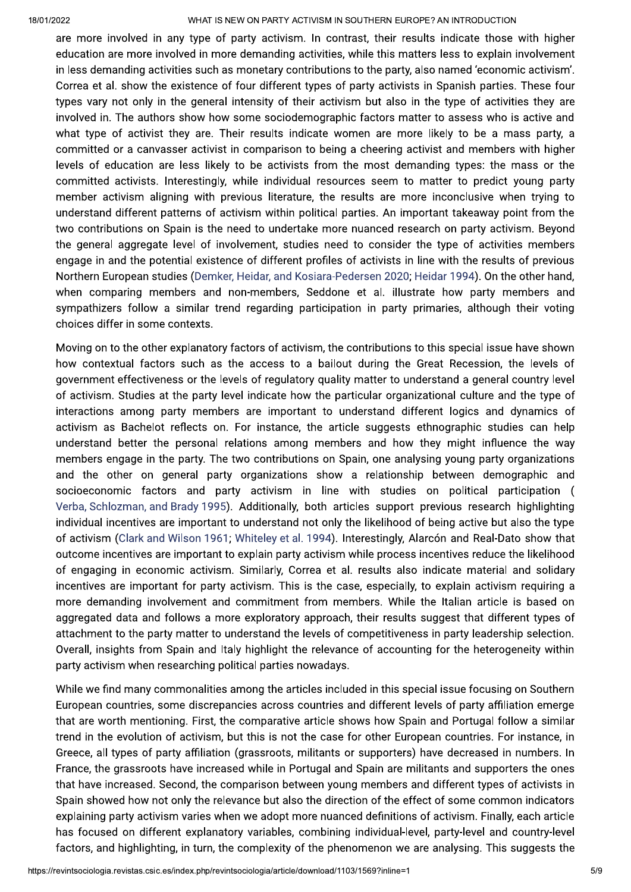#### $WHAI$  IS NEW ON PARTY ACTIVISM IN SOUTHERN EUROPE? AN INTRODUCTION

are more involved in any type of party activism. In contrast, their results indicate those with higher education are more involved in more demanding activities, while this matters less to explain involvement in less demanding activities such as monetary contributions to the party, also hamed  $\epsilon$ conomic activism . Correa et al. snow the existence of four different types of party activists in Spanish parties. These four types vary not only in the general intensity of their activism but also in the type of activities they are invoived in. The authors show how some sociodemographic factors matter to assess who is active and what type of activist they are. Their results indicate women are more likely to be a mass party, a  $\,$  committed or a canvasser activist in comparison to being a cheering activist and members with higher  $\,$ levels of equcation are less likely to be activists from the most demanding types: the mass or the  $\,$ committed activists. Interestingly, while individual resources seem to matter to predict young party member activism aligning with previous literature, the results are more inconclusive when trying to understand different patterns of activism within political parties. An important takeaway point from the two contributions on  $\operatorname{span}$  is the need to undertake more nuanced research on party activism. Beyond  $\,$  the general aggregate level of involvement, studies need to consider the type of activities members engage in and the potential existence of different profiles of activists in line with the results of previous  $\overline{\text{NOT}}$  worth  $\overline{\text{D}}$  and  $\overline{\text{ND}}$  and  $\overline{\text{ND}}$  and  $\overline{\text{ND}}$   $\overline{\text{ND}}$  and  $\overline{\text{ND}}$  and  $\overline{\text{ND}}$  and  $\overline{\text{ND}}$  and  $\overline{\text{ND}}$ when comparing members and non-members, Seddone et al. Illustrate now party members and  $s$ ympatnizers follow a similar trend regarding participation in party primaries, although their voting choices differ in some contexts.

Moving on to the other explanatory factors of activism, the contributions to this special issue have shown now contextual factors such as the access to a ballout during the Great Recession, the levels of government effectiveness or the levels of regulatory quality matter to understand a general country level of activism. Studies at the party level indicate now the particular organizational culture and the type of interactions among party members are important to understand different logics and dynamics of activism as Bachelot reflects on. For instance, the article suggests ethnographic studies can help understand better the personal relations among members and now they might influence the way members engage in the party. The two contributions on Spain, one analysing young party organizations and the other on general party organizations snow a relationship between demographic and  ${\sf socioeconomic}$  factors and party activism in line with studies on political participation ( verba, Schlozman, and Brady 1995). Additionally, both articles support previous research highlighting individual incentives are important to understand not only the likelinood of being active but also the type  $\,$ of activism (Clark and Wilson 1961; Whiteley et al. 1994). Interestingly, Alarcon and Real-Dato snow that outcome incentives are important to explain party activism while process incentives reduce the likelinood of engaging in economic activism. Similarly, Correa et al. results also indicate material and solidary incentives are important for party activism. This is the case, especially, to explain activism requiring a more demanding involvement and commitment from members. While the Italian article is based on aggregated data and follows a more exploratory approacn, their results suggest that different types of attachment to the party matter to understand the levels of competitiveness in party leadership selection. Overall, insignts from Spain and Italy nighlight the relevance of accounting for the heterogeneity within party activism when researching political parties nowadays.

Spain showed how not only the relevance but also the direction of the effect of some common indicators<br>explaining party activism varies when we adopt more nuanced definitions of activism. Finally, each article<br>has focused while we find many commonalities among the articles included in this special issue focusing on Southern  $\,$  $\epsilon$ uropean countries, some discrepancies across countries and different levels of party affiliation emerge that are worth mentioning. First, the comparative article shows how Spain and Portugal follow a similar  $\,$  $\,$  trend in the evolution of activism, but this is not the case for other European countries. For instance, in Greece, all types of party affiliation (grassroots, militants or supporters) have decreased in numbers. In France, the grassroots nave increased while in Portugal and Spain are militants and supporters the ones  $\tt{in}$  have increased. Second, the comparison between young members and different types of activists in  ${\tt Spain}$  snowed now not only the relevance but also the direction of the effect of some common indicators explaining party activism varies when we adopt more nuanced definitions of activism. Finally, each article nas focused on different explanatory variables, combining individual-level, party-level and country-level  ${\sf ractors}$ , and  ${\sf nignigning}$ , in  ${\sf turn}$ , the complexity of the phenomenon we are analysing. This suggests the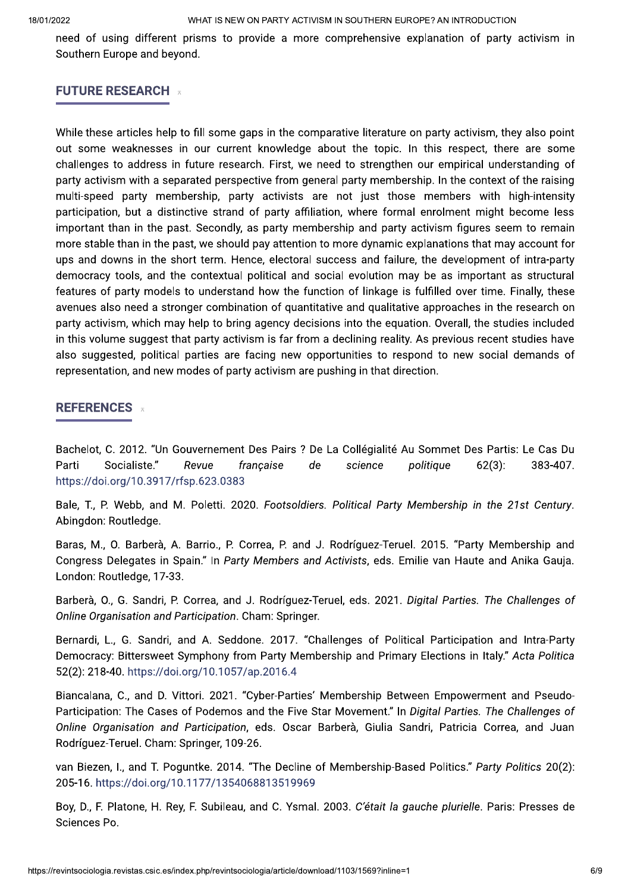need of using different prisms to provide a more comprehensive explanation of party activism in Southern Europe and beyond.

# **FUTURE RESEARCH**

While these articles help to fill some gaps in the comparative literature on party activism, they also point out some weaknesses in our current knowledge about the topic. In this respect, there are some challenges to address in future research. First, we need to strengthen our empirical understanding of party activism with a separated perspective from general party membership. In the context of the raising multi-speed party membership, party activists are not just those members with high-intensity participation, but a distinctive strand of party affiliation, where formal enrolment might become less important than in the past. Secondly, as party membership and party activism figures seem to remain more stable than in the past, we should pay attention to more dynamic explanations that may account for ups and downs in the short term. Hence, electoral success and failure, the development of intra-party democracy tools, and the contextual political and social evolution may be as important as structural features of party models to understand how the function of linkage is fulfilled over time. Finally, these avenues also need a stronger combination of quantitative and qualitative approaches in the research on party activism, which may help to bring agency decisions into the equation. Overall, the studies included in this volume suggest that party activism is far from a declining reality. As previous recent studies have also suggested, political parties are facing new opportunities to respond to new social demands of representation, and new modes of party activism are pushing in that direction.

# **REFERENCES**

Bachelot, C. 2012. "Un Gouvernement Des Pairs ? De La Collégialité Au Sommet Des Partis: Le Cas Du Socialiste." 383-407. Parti Revue française de science politique  $62(3)$ : https://doi.org/10.3917/rfsp.623.0383

Bale, T., P. Webb, and M. Poletti, 2020. Footsoldiers, Political Party Membership in the 21st Century. Abingdon: Routledge.

Baras, M., O. Barberà, A. Barrio., P. Correa, P. and J. Rodríguez-Teruel. 2015. "Party Membership and Congress Delegates in Spain." In Party Members and Activists, eds. Emilie van Haute and Anika Gauja. London: Routledge, 17-33.

Barberà, O., G. Sandri, P. Correa, and J. Rodríguez-Teruel, eds. 2021. Digital Parties, The Challenges of Online Organisation and Participation. Cham: Springer.

Bernardi, L., G. Sandri, and A. Seddone. 2017. "Challenges of Political Participation and Intra-Party Democracy: Bittersweet Symphony from Party Membership and Primary Elections in Italy." Acta Politica 52(2): 218-40. https://doi.org/10.1057/ap.2016.4

Biancalana, C., and D. Vittori. 2021. "Cyber-Parties' Membership Between Empowerment and Pseudo-Participation: The Cases of Podemos and the Five Star Movement." In Digital Parties. The Challenges of Online Organisation and Participation, eds. Oscar Barberà, Giulia Sandri, Patricia Correa, and Juan Rodríguez-Teruel. Cham: Springer, 109-26.

van Biezen, I., and T. Poguntke. 2014. "The Decline of Membership-Based Politics." Party Politics 20(2): 205-16. https://doi.org/10.1177/1354068813519969

Boy, D., F. Platone, H. Rey, F. Subileau, and C. Ysmal. 2003. C'était la gauche plurielle. Paris: Presses de Sciences Po.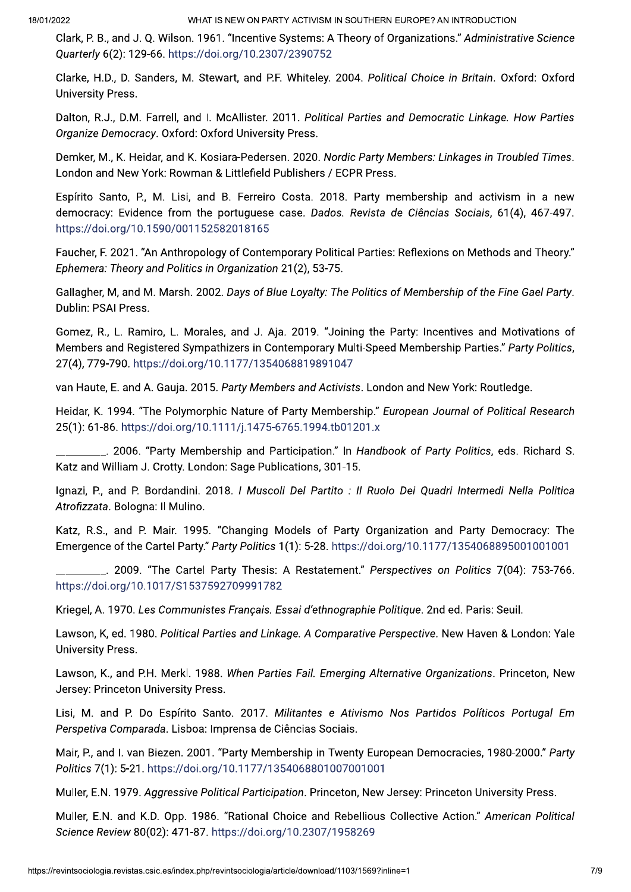Clark, P. B., and J. Q. Wilson. 1961. "Incentive Systems: A Theory of Organizations." Administrative Science Ouarterly 6(2): 129-66. https://doi.org/10.2307/2390752

Clarke, H.D., D. Sanders, M. Stewart, and P.F. Whiteley. 2004. Political Choice in Britain. Oxford: Oxford **University Press.** 

Dalton, R.J., D.M. Farrell, and I. McAllister. 2011. Political Parties and Democratic Linkage. How Parties Organize Democracy. Oxford: Oxford University Press.

Demker, M., K. Heidar, and K. Kosiara-Pedersen. 2020. Nordic Party Members: Linkages in Troubled Times. London and New York: Rowman & Littlefield Publishers / ECPR Press.

Espírito Santo, P., M. Lisi, and B. Ferreiro Costa. 2018. Party membership and activism in a new democracy: Evidence from the portuguese case. Dados. Revista de Ciências Sociais, 61(4), 467-497. https://doi.org/10.1590/001152582018165

Faucher, F. 2021. "An Anthropology of Contemporary Political Parties: Reflexions on Methods and Theory." Ephemera: Theory and Politics in Organization 21(2), 53-75.

Gallagher, M, and M. Marsh. 2002. Days of Blue Loyalty: The Politics of Membership of the Fine Gael Party. Dublin: PSAI Press.

Gomez, R., L. Ramiro, L. Morales, and J. Aja. 2019. "Joining the Party: Incentives and Motivations of Members and Registered Sympathizers in Contemporary Multi-Speed Membership Parties." Party Politics, 27(4), 779-790. https://doi.org/10.1177/1354068819891047

van Haute, E. and A. Gauja. 2015. Party Members and Activists. London and New York: Routledge.

Heidar, K. 1994. "The Polymorphic Nature of Party Membership." European Journal of Political Research 25(1): 61-86. https://doi.org/10.1111/j.1475-6765.1994.tb01201.x

. 2006. "Party Membership and Participation." In Handbook of Party Politics, eds. Richard S. Katz and William J. Crotty. London: Sage Publications, 301-15.

Ignazi, P., and P. Bordandini. 2018. I Muscoli Del Partito : Il Ruolo Dei Quadri Intermedi Nella Politica Atrofizzata. Bologna: Il Mulino.

Katz, R.S., and P. Mair. 1995. "Changing Models of Party Organization and Party Democracy: The Emergence of the Cartel Party." Party Politics 1(1): 5-28. https://doi.org/10.1177/1354068895001001001

2009. "The Cartel Party Thesis: A Restatement." Perspectives on Politics 7(04): 753-766. https://doi.org/10.1017/S1537592709991782

Kriegel, A. 1970. Les Communistes Français. Essai d'ethnographie Politique. 2nd ed. Paris: Seuil.

Lawson, K. ed. 1980. Political Parties and Linkage. A Comparative Perspective. New Haven & London: Yale **University Press.** 

Lawson, K., and P.H. Merkl. 1988. When Parties Fail. Emerging Alternative Organizations. Princeton, New Jersey: Princeton University Press.

Lisi, M. and P. Do Espírito Santo. 2017. Militantes e Ativismo Nos Partidos Políticos Portugal Em Perspetiva Comparada. Lisboa: Imprensa de Ciências Sociais.

Mair, P., and I. van Biezen. 2001. "Party Membership in Twenty European Democracies, 1980-2000." Party Politics 7(1): 5-21. https://doi.org/10.1177/1354068801007001001

Muller, E.N. 1979. Aggressive Political Participation. Princeton, New Jersey: Princeton University Press.

Muller, E.N. and K.D. Opp. 1986. "Rational Choice and Rebellious Collective Action." American Political Science Review 80(02): 471-87. https://doi.org/10.2307/1958269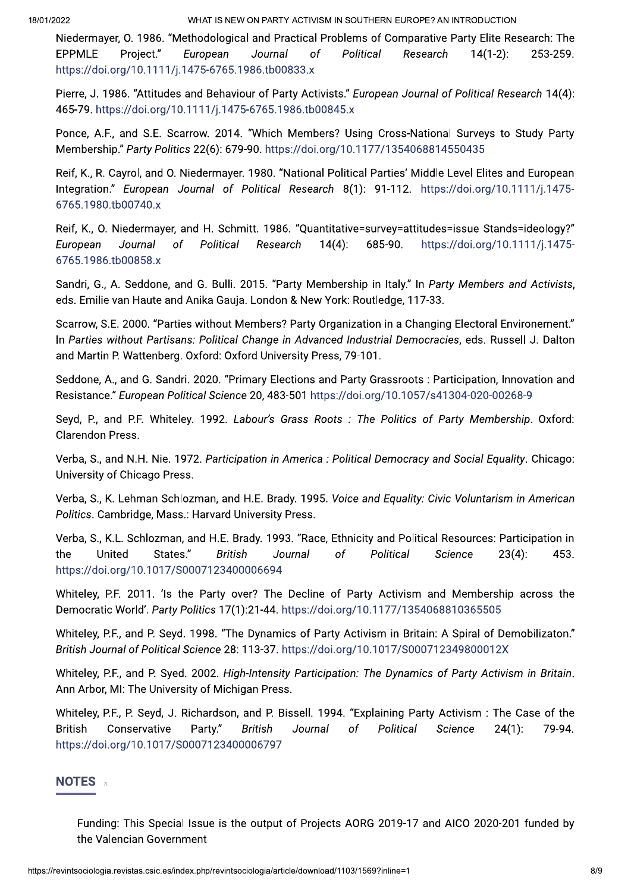WHAT IS NEW ON PARTY ACTIVISM IN SOUTHERN EUROPE? AN INTRODUCTION

Niedermayer, O. 1986. "Methodological and Practical Problems of Comparative Party Elite Research: The **EPPMLE** Proiect." European Political  $14(1-2)$ : 253-259. Journal of Research https://doi.org/10.1111/j.1475-6765.1986.tb00833.x

Pierre, J. 1986. "Attitudes and Behaviour of Party Activists." European Journal of Political Research 14(4): 465-79. https://doi.org/10.1111/j.1475-6765.1986.tb00845.x

Ponce, A.F., and S.E. Scarrow. 2014. "Which Members? Using Cross-National Surveys to Study Party Membership." Party Politics 22(6): 679-90. https://doi.org/10.1177/1354068814550435

Reif, K., R. Cayrol, and O. Niedermayer. 1980. "National Political Parties' Middle Level Elites and European Integration." European Journal of Political Research 8(1): 91-112. https://doi.org/10.1111/j.1475-6765.1980.tb00740.x

Reif, K., O. Niedermayer, and H. Schmitt. 1986. "Quantitative=survey=attitudes=issue Stands=ideology?" Political  $14(4)$ : 685-90. https://doi.org/10.1111/j.1475-European Journal of Research 6765.1986.tb00858.x

Sandri, G., A. Seddone, and G. Bulli. 2015. "Party Membership in Italy." In Party Members and Activists, eds. Emilie van Haute and Anika Gauja. London & New York: Routledge, 117-33.

Scarrow, S.E. 2000. "Parties without Members? Party Organization in a Changing Electoral Environement." In Parties without Partisans: Political Change in Advanced Industrial Democracies, eds. Russell J. Dalton and Martin P. Wattenberg. Oxford: Oxford University Press, 79-101.

Seddone, A., and G. Sandri. 2020. "Primary Elections and Party Grassroots: Participation, Innovation and Resistance." European Political Science 20, 483-501 https://doi.org/10.1057/s41304-020-00268-9

Seyd, P., and P.F. Whiteley. 1992. Labour's Grass Roots: The Politics of Party Membership. Oxford: Clarendon Press.

Verba, S., and N.H. Nie, 1972. Participation in America : Political Democracy and Social Equality. Chicago: University of Chicago Press.

Verba, S., K. Lehman Schlozman, and H.E. Brady. 1995. Voice and Equality: Civic Voluntarism in American Politics. Cambridge, Mass.: Harvard University Press.

Verba, S., K.L. Schlozman, and H.E. Brady. 1993. "Race, Ethnicity and Political Resources: Participation in the United States." **British** Journal  $\sigma$ f Political Science  $23(4)$ : 453. https://doi.org/10.1017/S0007123400006694

Whiteley, P.F. 2011. 'Is the Party over? The Decline of Party Activism and Membership across the Democratic World', Party Politics 17(1):21-44, https://doi.org/10.1177/1354068810365505

Whiteley, P.F., and P. Sevd. 1998. "The Dynamics of Party Activism in Britain: A Spiral of Demobilizaton." British Journal of Political Science 28: 113-37. https://doi.org/10.1017/S000712349800012X

Whiteley, P.F., and P. Syed. 2002. High-Intensity Participation: The Dynamics of Party Activism in Britain. Ann Arbor, MI: The University of Michigan Press.

Whiteley, P.F., P. Seyd, J. Richardson, and P. Bissell. 1994. "Explaining Party Activism: The Case of the Conservative Party." **British** Journal Political Science  $24(1):$ 79-94. **British** <sub>of</sub> https://doi.org/10.1017/S0007123400006797

#### **NOTES**  $\overline{a}$

Funding: This Special Issue is the output of Projects AORG 2019-17 and AICO 2020-201 funded by the Valencian Government